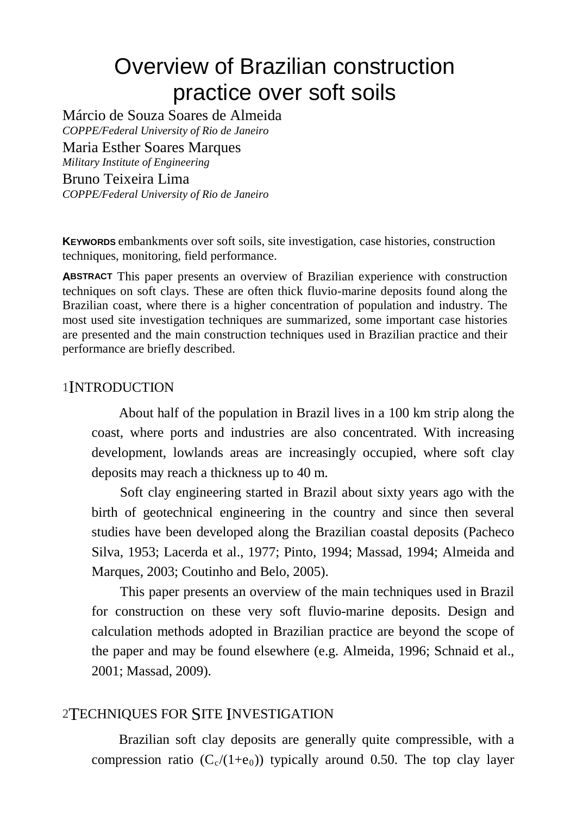# Overview of Brazilian construction practice over soft soils

Márcio de Souza Soares de Almeida *COPPE/Federal University of Rio de Janeiro*  Maria Esther Soares Marques *Military Institute of Engineering*  Bruno Teixeira Lima *COPPE/Federal University of Rio de Janeiro*

**KEYWORDS** embankments over soft soils, site investigation, case histories, construction techniques, monitoring, field performance.

**ABSTRACT** This paper presents an overview of Brazilian experience with construction techniques on soft clays. These are often thick fluvio-marine deposits found along the Brazilian coast, where there is a higher concentration of population and industry. The most used site investigation techniques are summarized, some important case histories are presented and the main construction techniques used in Brazilian practice and their performance are briefly described.

#### 1INTRODUCTION

About half of the population in Brazil lives in a 100 km strip along the coast, where ports and industries are also concentrated. With increasing development, lowlands areas are increasingly occupied, where soft clay deposits may reach a thickness up to 40 m.

Soft clay engineering started in Brazil about sixty years ago with the birth of geotechnical engineering in the country and since then several studies have been developed along the Brazilian coastal deposits (Pacheco Silva, 1953; Lacerda et al., 1977; Pinto, 1994; Massad, 1994; Almeida and Marques, 2003; Coutinho and Belo, 2005).

This paper presents an overview of the main techniques used in Brazil for construction on these very soft fluvio-marine deposits. Design and calculation methods adopted in Brazilian practice are beyond the scope of the paper and may be found elsewhere (e.g. Almeida, 1996; Schnaid et al., 2001; Massad, 2009).

## 2TECHNIQUES FOR SITE INVESTIGATION

Brazilian soft clay deposits are generally quite compressible, with a compression ratio  $(C_c/(1+\epsilon_0))$  typically around 0.50. The top clay layer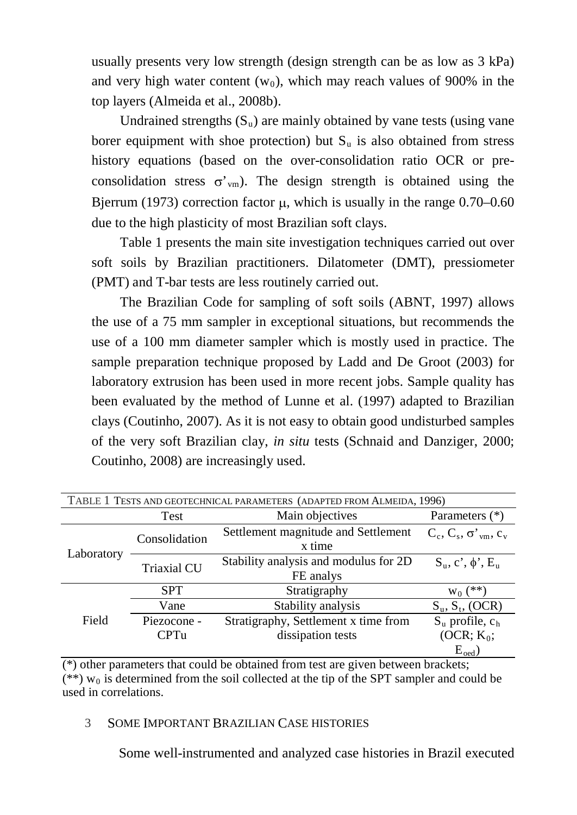usually presents very low strength (design strength can be as low as 3 kPa) and very high water content  $(w_0)$ , which may reach values of 900% in the top layers (Almeida et al., 2008b).

Undrained strengths  $(S_u)$  are mainly obtained by vane tests (using vane borer equipment with shoe protection) but  $S<sub>u</sub>$  is also obtained from stress history equations (based on the over-consolidation ratio OCR or preconsolidation stress  $\sigma'_{\text{vm}}$ ). The design strength is obtained using the Bjerrum (1973) correction factor  $\mu$ , which is usually in the range 0.70–0.60 due to the high plasticity of most Brazilian soft clays.

Table 1 presents the main site investigation techniques carried out over soft soils by Brazilian practitioners. Dilatometer (DMT), pressiometer (PMT) and T-bar tests are less routinely carried out.

The Brazilian Code for sampling of soft soils (ABNT, 1997) allows the use of a 75 mm sampler in exceptional situations, but recommends the use of a 100 mm diameter sampler which is mostly used in practice. The sample preparation technique proposed by Ladd and De Groot (2003) for laboratory extrusion has been used in more recent jobs. Sample quality has been evaluated by the method of Lunne et al. (1997) adapted to Brazilian clays (Coutinho, 2007). As it is not easy to obtain good undisturbed samples of the very soft Brazilian clay, *in situ* tests (Schnaid and Danziger, 2000; Coutinho, 2008) are increasingly used.

| TABLE 1 TESTS AND GEOTECHNICAL PARAMETERS (ADAPTED FROM ALMEIDA, 1996) |                    |                                                    |                               |  |
|------------------------------------------------------------------------|--------------------|----------------------------------------------------|-------------------------------|--|
|                                                                        | Test               | Main objectives                                    | Parameters (*)                |  |
| Laboratory                                                             | Consolidation      | Settlement magnitude and Settlement<br>x time      | $C_c, C_s, \sigma'_{vm}, c_v$ |  |
|                                                                        | <b>Triaxial CU</b> | Stability analysis and modulus for 2D<br>FE analys | $S_u, c', \phi', E_u$         |  |
| Field                                                                  | <b>SPT</b>         | Stratigraphy                                       | $W_0$ (**                     |  |
|                                                                        | Vane               | Stability analysis                                 | $S_u$ , $S_t$ , (OCR)         |  |
|                                                                        | Piezocone -        | Stratigraphy, Settlement x time from               | $S_u$ profile, $c_h$          |  |
|                                                                        | <b>CPTu</b>        | dissipation tests                                  | $(OCR; K_0;$                  |  |
|                                                                        |                    |                                                    | $E_{\text{oed}}$              |  |

(\*) other parameters that could be obtained from test are given between brackets;  $(**)$  w<sub>0</sub> is determined from the soil collected at the tip of the SPT sampler and could be used in correlations.

#### 3 SOME IMPORTANT BRAZILIAN CASE HISTORIES

Some well-instrumented and analyzed case histories in Brazil executed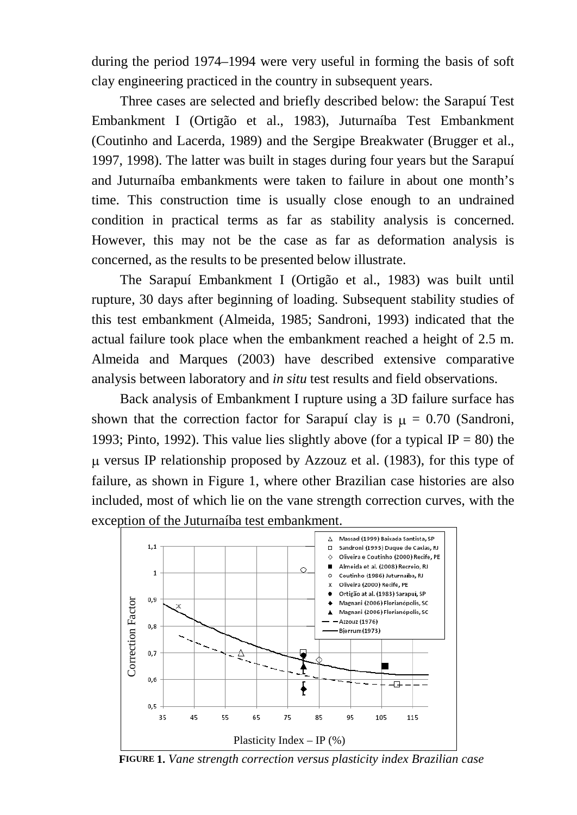during the period 1974–1994 were very useful in forming the basis of soft clay engineering practiced in the country in subsequent years.

Three cases are selected and briefly described below: the Sarapuí Test Embankment I (Ortigão et al., 1983), Juturnaíba Test Embankment (Coutinho and Lacerda, 1989) and the Sergipe Breakwater (Brugger et al., 1997, 1998). The latter was built in stages during four years but the Sarapuí and Juturnaíba embankments were taken to failure in about one month's time. This construction time is usually close enough to an undrained condition in practical terms as far as stability analysis is concerned. However, this may not be the case as far as deformation analysis is concerned, as the results to be presented below illustrate.

The Sarapuí Embankment I (Ortigão et al., 1983) was built until rupture, 30 days after beginning of loading. Subsequent stability studies of this test embankment (Almeida, 1985; Sandroni, 1993) indicated that the actual failure took place when the embankment reached a height of 2.5 m. Almeida and Marques (2003) have described extensive comparative analysis between laboratory and *in situ* test results and field observations.

Back analysis of Embankment I rupture using a 3D failure surface has shown that the correction factor for Sarapuí clay is  $\mu = 0.70$  (Sandroni, 1993; Pinto, 1992). This value lies slightly above (for a typical IP = 80) the µ versus IP relationship proposed by Azzouz et al. (1983), for this type of failure, as shown in Figure 1, where other Brazilian case histories are also included, most of which lie on the vane strength correction curves, with the exception of the Juturnaíba test embankment.



**FIGURE 1.** *Vane strength correction versus plasticity index Brazilian case*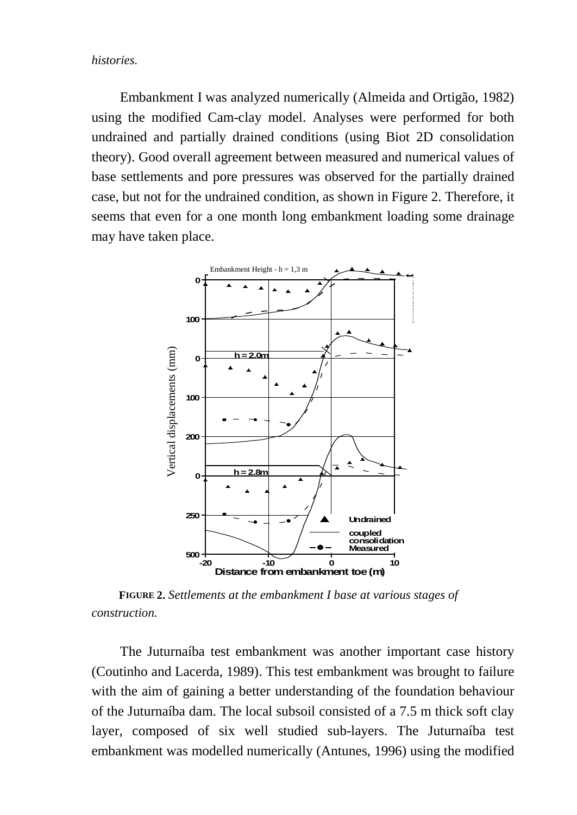*histories.*

Embankment I was analyzed numerically (Almeida and Ortigão, 1982) using the modified Cam-clay model. Analyses were performed for both undrained and partially drained conditions (using Biot 2D consolidation theory). Good overall agreement between measured and numerical values of base settlements and pore pressures was observed for the partially drained case, but not for the undrained condition, as shown in Figure 2. Therefore, it seems that even for a one month long embankment loading some drainage may have taken place.



**FIGURE 2.** *Settlements at the embankment I base at various stages of construction.* 

The Juturnaíba test embankment was another important case history (Coutinho and Lacerda, 1989). This test embankment was brought to failure with the aim of gaining a better understanding of the foundation behaviour of the Juturnaíba dam. The local subsoil consisted of a 7.5 m thick soft clay layer, composed of six well studied sub-layers. The Juturnaíba test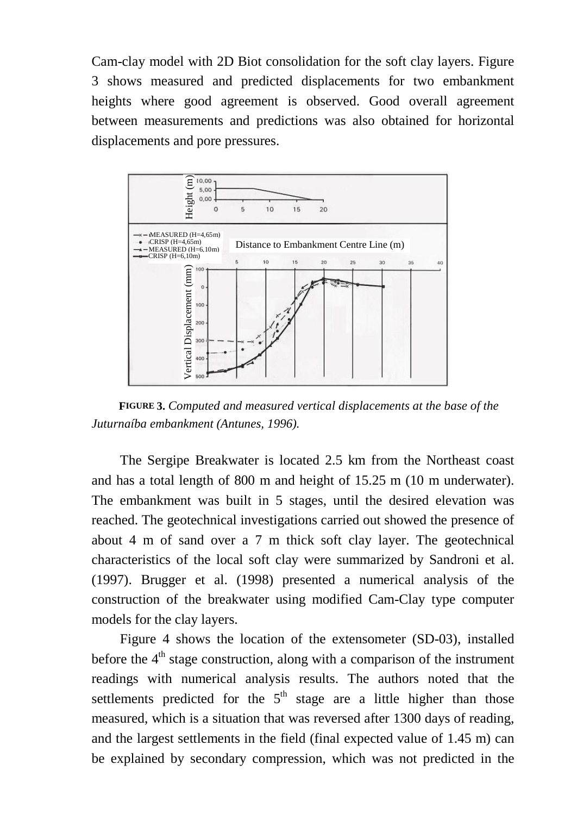Cam-clay model with 2D Biot consolidation for the soft clay layers. Figure 3 shows measured and predicted displacements for two embankment heights where good agreement is observed. Good overall agreement between measurements and predictions was also obtained for horizontal displacements and pore pressures.



**FIGURE 3.** *Computed and measured vertical displacements at the base of the Juturnaíba embankment (Antunes, 1996).*

The Sergipe Breakwater is located 2.5 km from the Northeast coast and has a total length of 800 m and height of 15.25 m (10 m underwater). The embankment was built in 5 stages, until the desired elevation was reached. The geotechnical investigations carried out showed the presence of about 4 m of sand over a 7 m thick soft clay layer. The geotechnical characteristics of the local soft clay were summarized by Sandroni et al. (1997). Brugger et al. (1998) presented a numerical analysis of the construction of the breakwater using modified Cam-Clay type computer models for the clay layers.

Figure 4 shows the location of the extensometer (SD-03), installed before the  $4<sup>th</sup>$  stage construction, along with a comparison of the instrument readings with numerical analysis results. The authors noted that the settlements predicted for the  $5<sup>th</sup>$  stage are a little higher than those measured, which is a situation that was reversed after 1300 days of reading, and the largest settlements in the field (final expected value of 1.45 m) can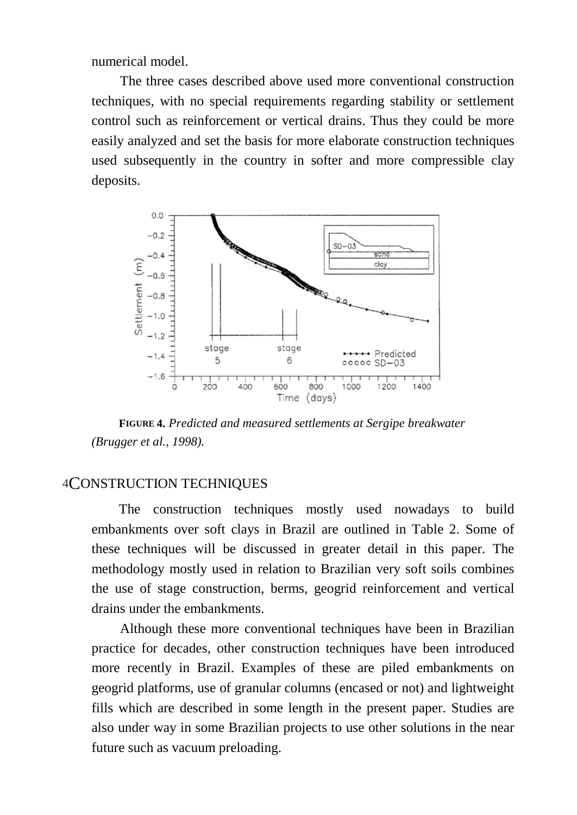numerical model.

The three cases described above used more conventional construction techniques, with no special requirements regarding stability or settlement control such as reinforcement or vertical drains. Thus they could be more easily analyzed and set the basis for more elaborate construction techniques used subsequently in the country in softer and more compressible clay deposits.



**FIGURE 4.** *Predicted and measured settlements at Sergipe breakwater (Brugger et al., 1998).*

## 4CONSTRUCTION TECHNIQUES

The construction techniques mostly used nowadays to build embankments over soft clays in Brazil are outlined in Table 2. Some of these techniques will be discussed in greater detail in this paper. The methodology mostly used in relation to Brazilian very soft soils combines the use of stage construction, berms, geogrid reinforcement and vertical drains under the embankments.

Although these more conventional techniques have been in Brazilian practice for decades, other construction techniques have been introduced more recently in Brazil. Examples of these are piled embankments on geogrid platforms, use of granular columns (encased or not) and lightweight fills which are described in some length in the present paper. Studies are also under way in some Brazilian projects to use other solutions in the near future such as vacuum preloading.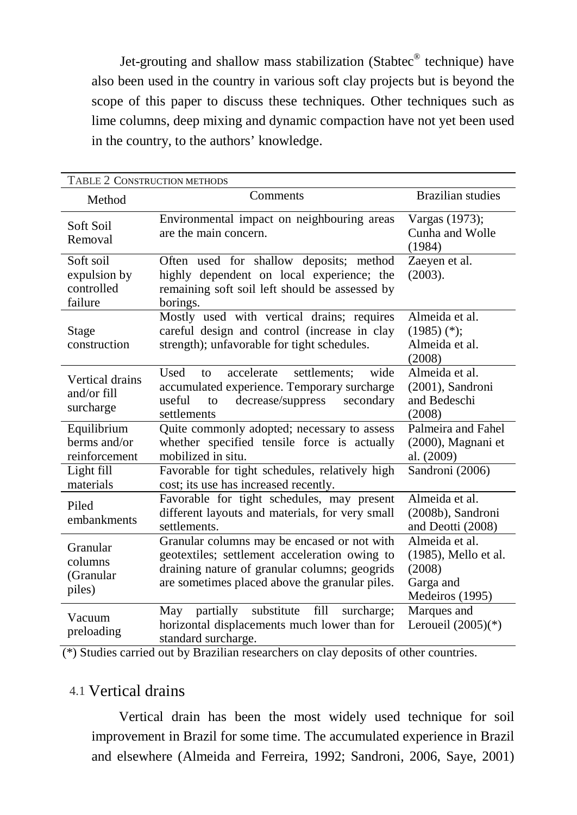Jet-grouting and shallow mass stabilization (Stabtec® technique) have also been used in the country in various soft clay projects but is beyond the scope of this paper to discuss these techniques. Other techniques such as lime columns, deep mixing and dynamic compaction have not yet been used in the country, to the authors' knowledge.

| TABLE 2 CONSTRUCTION METHODS                       |                                                                                                                                                                                                 |                                                                                  |
|----------------------------------------------------|-------------------------------------------------------------------------------------------------------------------------------------------------------------------------------------------------|----------------------------------------------------------------------------------|
| Method                                             | Comments                                                                                                                                                                                        | <b>Brazilian</b> studies                                                         |
| Soft Soil<br>Removal                               | Environmental impact on neighbouring areas<br>are the main concern.                                                                                                                             | Vargas (1973);<br>Cunha and Wolle<br>(1984)                                      |
| Soft soil<br>expulsion by<br>controlled<br>failure | Often used for shallow deposits; method<br>highly dependent on local experience; the<br>remaining soft soil left should be assessed by<br>borings.                                              | Zaeyen et al.<br>(2003).                                                         |
| Stage<br>construction                              | Mostly used with vertical drains; requires<br>careful design and control (increase in clay<br>strength); unfavorable for tight schedules.                                                       | Almeida et al.<br>$(1985)$ (*);<br>Almeida et al.<br>(2008)                      |
| Vertical drains<br>and/or $fill$<br>surcharge      | Used<br>accelerate<br>settlements:<br>wide<br>to<br>accumulated experience. Temporary surcharge<br>decrease/suppress<br>useful<br>secondary<br>to<br>settlements                                | Almeida et al.<br>(2001), Sandroni<br>and Bedeschi<br>(2008)                     |
| Equilibrium<br>berms and/or<br>reinforcement       | Quite commonly adopted; necessary to assess<br>whether specified tensile force is actually<br>mobilized in situ.                                                                                | Palmeira and Fahel<br>(2000), Magnani et<br>al. (2009)                           |
| Light fill<br>materials                            | Favorable for tight schedules, relatively high<br>cost; its use has increased recently.                                                                                                         | Sandroni (2006)                                                                  |
| Piled<br>embankments                               | Favorable for tight schedules, may present<br>different layouts and materials, for very small<br>settlements.                                                                                   | Almeida et al.<br>(2008b), Sandroni<br>and Deotti (2008)                         |
| Granular<br>columns<br>(Granular<br>piles)         | Granular columns may be encased or not with<br>geotextiles; settlement acceleration owing to<br>draining nature of granular columns; geogrids<br>are sometimes placed above the granular piles. | Almeida et al.<br>(1985), Mello et al.<br>(2008)<br>Garga and<br>Medeiros (1995) |
| Vacuum<br>preloading                               | substitute<br>fill<br>partially<br>surcharge;<br>May<br>horizontal displacements much lower than for<br>standard surcharge.                                                                     | Marques and<br>Leroueil $(2005)(*)$                                              |

(\*) Studies carried out by Brazilian researchers on clay deposits of other countries.

## 4.1 Vertical drains

Vertical drain has been the most widely used technique for soil improvement in Brazil for some time. The accumulated experience in Brazil and elsewhere (Almeida and Ferreira, 1992; Sandroni, 2006, Saye, 2001)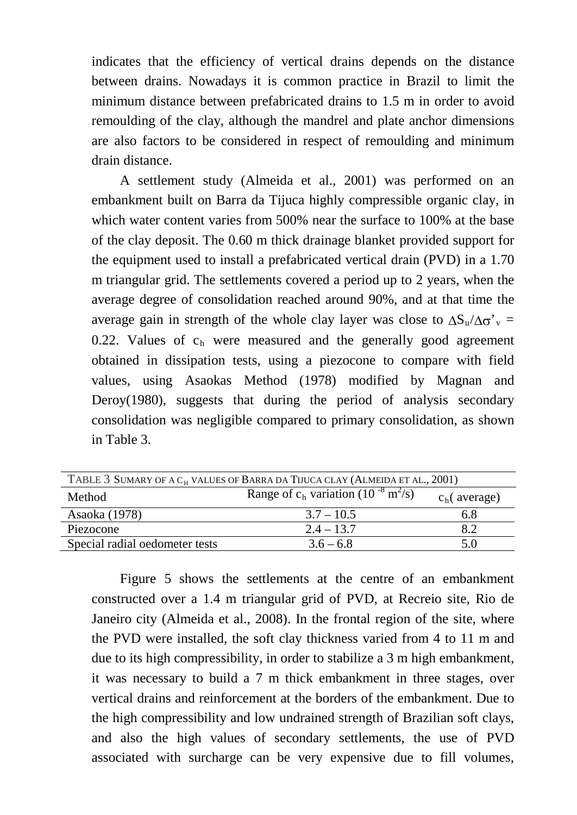indicates that the efficiency of vertical drains depends on the distance between drains. Nowadays it is common practice in Brazil to limit the minimum distance between prefabricated drains to 1.5 m in order to avoid remoulding of the clay, although the mandrel and plate anchor dimensions are also factors to be considered in respect of remoulding and minimum drain distance.

A settlement study (Almeida et al., 2001) was performed on an embankment built on Barra da Tijuca highly compressible organic clay, in which water content varies from 500% near the surface to 100% at the base of the clay deposit. The 0.60 m thick drainage blanket provided support for the equipment used to install a prefabricated vertical drain (PVD) in a 1.70 m triangular grid. The settlements covered a period up to 2 years, when the average degree of consolidation reached around 90%, and at that time the average gain in strength of the whole clay layer was close to  $\Delta S_u/\Delta \sigma'_{v}$  = 0.22. Values of  $c<sub>h</sub>$  were measured and the generally good agreement obtained in dissipation tests, using a piezocone to compare with field values, using Asaokas Method (1978) modified by Magnan and Deroy(1980), suggests that during the period of analysis secondary consolidation was negligible compared to primary consolidation, as shown in Table 3.

| TABLE 3 SUMARY OF A C <sub>H</sub> VALUES OF BARRA DA TIJUCA CLAY (ALMEIDA ET AL., 2001) |                                                                       |                |
|------------------------------------------------------------------------------------------|-----------------------------------------------------------------------|----------------|
| Method                                                                                   | Range of c <sub>h</sub> variation (10 <sup>-8</sup> $\frac{m^2}{s}$ ) | $ch$ (average) |
| Asaoka (1978)                                                                            | $3.7 - 10.5$                                                          | 6.8            |
| Piezocone                                                                                | $2.4 - 13.7$                                                          | 8.2            |
| Special radial oedometer tests                                                           | $3.6 - 6.8$                                                           | 5 O            |

Figure 5 shows the settlements at the centre of an embankment constructed over a 1.4 m triangular grid of PVD, at Recreio site, Rio de Janeiro city (Almeida et al., 2008). In the frontal region of the site, where the PVD were installed, the soft clay thickness varied from 4 to 11 m and due to its high compressibility, in order to stabilize a 3 m high embankment, it was necessary to build a 7 m thick embankment in three stages, over vertical drains and reinforcement at the borders of the embankment. Due to the high compressibility and low undrained strength of Brazilian soft clays, and also the high values of secondary settlements, the use of PVD associated with surcharge can be very expensive due to fill volumes,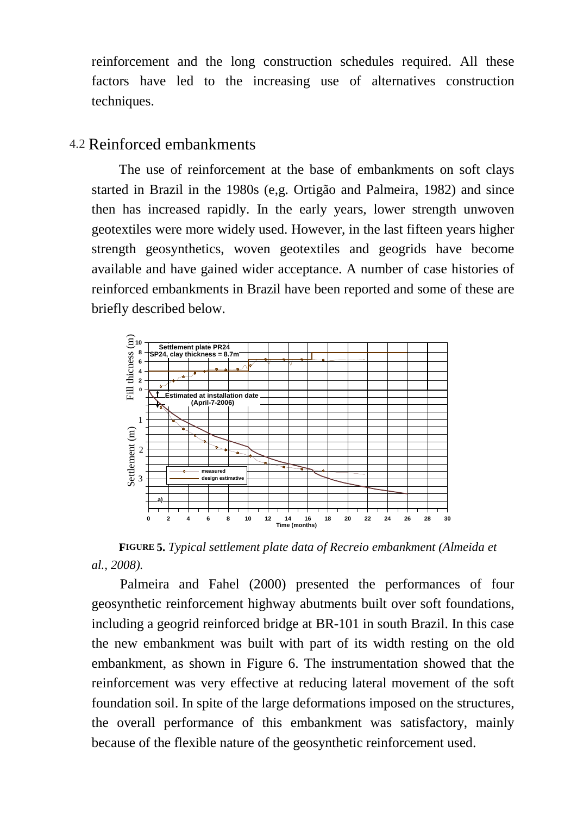reinforcement and the long construction schedules required. All these factors have led to the increasing use of alternatives construction techniques.

## 4.2 Reinforced embankments

The use of reinforcement at the base of embankments on soft clays started in Brazil in the 1980s (e,g. Ortigão and Palmeira, 1982) and since then has increased rapidly. In the early years, lower strength unwoven geotextiles were more widely used. However, in the last fifteen years higher strength geosynthetics, woven geotextiles and geogrids have become available and have gained wider acceptance. A number of case histories of reinforced embankments in Brazil have been reported and some of these are briefly described below.



**FIGURE 5.** *Typical settlement plate data of Recreio embankment (Almeida et* 

Palmeira and Fahel (2000) presented the performances of four geosynthetic reinforcement highway abutments built over soft foundations, including a geogrid reinforced bridge at BR-101 in south Brazil. In this case the new embankment was built with part of its width resting on the old embankment, as shown in Figure 6. The instrumentation showed that the reinforcement was very effective at reducing lateral movement of the soft foundation soil. In spite of the large deformations imposed on the structures, the overall performance of this embankment was satisfactory, mainly because of the flexible nature of the geosynthetic reinforcement used.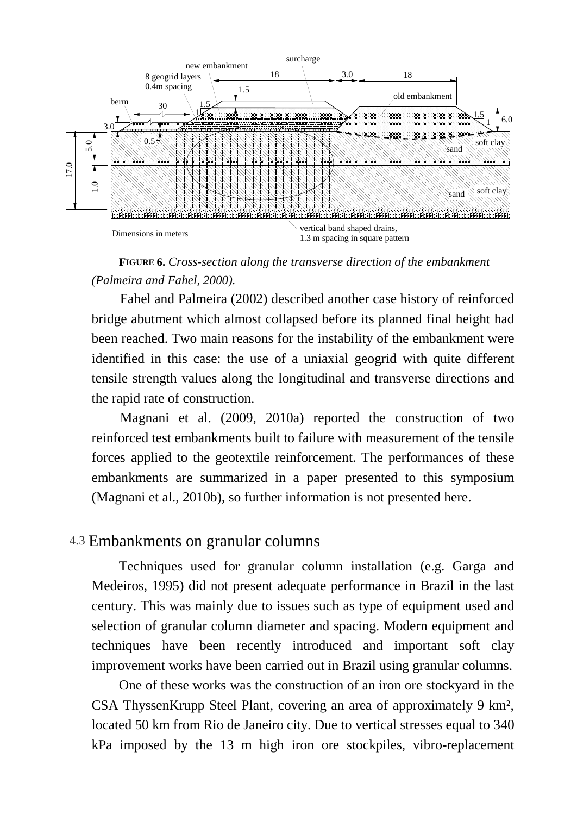

### **FIGURE 6.** *Cross-section along the transverse direction of the embankment (Palmeira and Fahel, 2000).*

Fahel and Palmeira (2002) described another case history of reinforced bridge abutment which almost collapsed before its planned final height had been reached. Two main reasons for the instability of the embankment were identified in this case: the use of a uniaxial geogrid with quite different tensile strength values along the longitudinal and transverse directions and the rapid rate of construction.

Magnani et al. (2009, 2010a) reported the construction of two reinforced test embankments built to failure with measurement of the tensile forces applied to the geotextile reinforcement. The performances of these embankments are summarized in a paper presented to this symposium (Magnani et al., 2010b), so further information is not presented here.

## 4.3 Embankments on granular columns

Techniques used for granular column installation (e.g. Garga and Medeiros, 1995) did not present adequate performance in Brazil in the last century. This was mainly due to issues such as type of equipment used and selection of granular column diameter and spacing. Modern equipment and techniques have been recently introduced and important soft clay improvement works have been carried out in Brazil using granular columns.

One of these works was the construction of an iron ore stockyard in the CSA ThyssenKrupp Steel Plant, covering an area of approximately 9 km², located 50 km from Rio de Janeiro city. Due to vertical stresses equal to 340 kPa imposed by the 13 m high iron ore stockpiles, vibro-replacement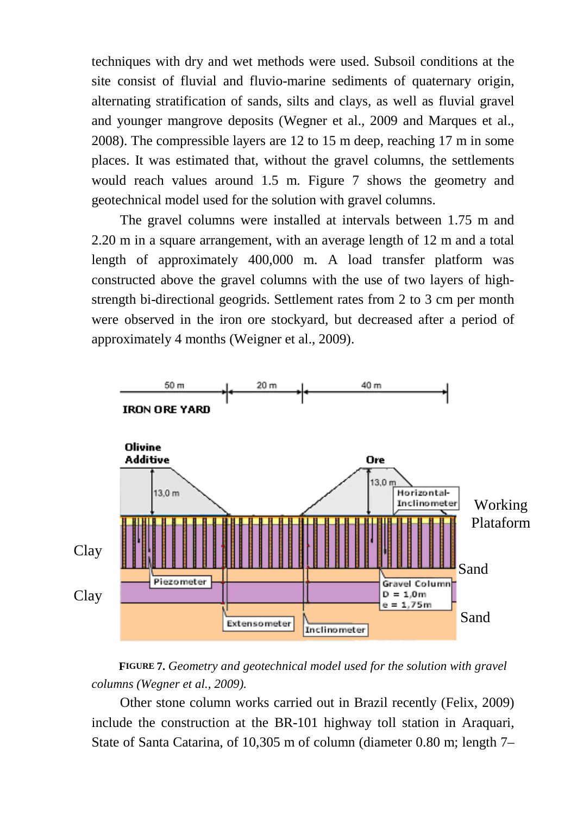techniques with dry and wet methods were used. Subsoil conditions at the site consist of fluvial and fluvio-marine sediments of quaternary origin, alternating stratification of sands, silts and clays, as well as fluvial gravel and younger mangrove deposits (Wegner et al., 2009 and Marques et al., 2008). The compressible layers are 12 to 15 m deep, reaching 17 m in some places. It was estimated that, without the gravel columns, the settlements would reach values around 1.5 m. Figure 7 shows the geometry and geotechnical model used for the solution with gravel columns.

The gravel columns were installed at intervals between 1.75 m and 2.20 m in a square arrangement, with an average length of 12 m and a total length of approximately 400,000 m. A load transfer platform was constructed above the gravel columns with the use of two layers of highstrength bi-directional geogrids. Settlement rates from 2 to 3 cm per month were observed in the iron ore stockyard, but decreased after a period of approximately 4 months (Weigner et al., 2009).



#### **FIGURE 7.** *G eometry and geotechnical model used for the solution with gravel columns (Wegner et al., 2009).*

Other stone column works carried out in Brazil recently (Felix, 2009) include the construction at the BR-101 highway toll station in Araquari, State of Santa Catarina, of 10,305 m of column (diameter 0.80 m; length 7–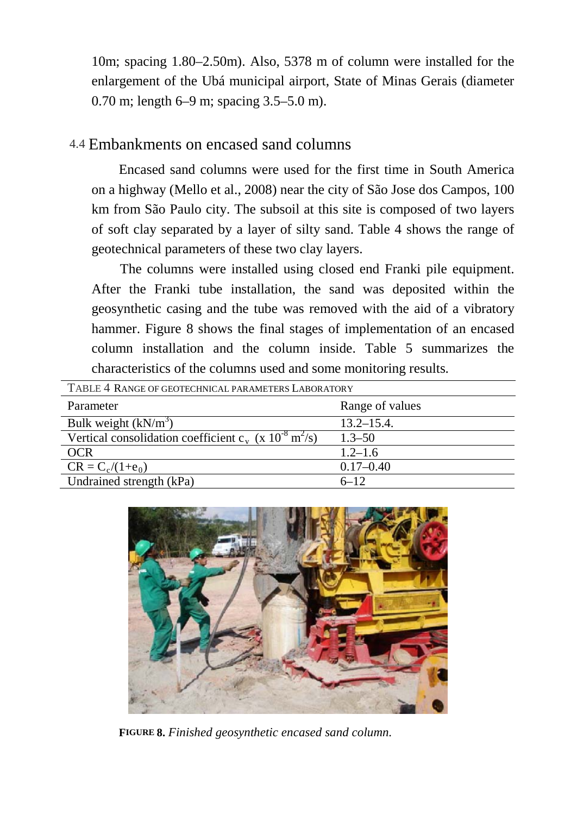10m; spacing 1.80–2.50m). Also, 5378 m of column were installed for the enlargement of the Ubá municipal airport, State of Minas Gerais (diameter 0.70 m; length 6–9 m; spacing 3.5–5.0 m).

# 4.4 Embankments on encased sand columns

Encased sand columns were used for the first time in South America on a highway (Mello et al., 2008) near the city of São Jose dos Campos, 100 km from São Paulo city. The subsoil at this site is composed of two layers of soft clay separated by a layer of silty sand. Table 4 shows the range of geotechnical parameters of these two clay layers.

The columns were installed using closed end Franki pile equipment. After the Franki tube installation, the sand was deposited within the geosynthetic casing and the tube was removed with the aid of a vibratory hammer. Figure 8 shows the final stages of implementation of an encased column installation and the column inside. Table 5 summarizes the characteristics of the columns used and some monitoring results.

| TABLE 4 RANGE OF GEOTECHNICAL PARAMETERS LABORATORY                                      |                 |  |
|------------------------------------------------------------------------------------------|-----------------|--|
| Parameter                                                                                | Range of values |  |
| Bulk weight $(kN/m^3)$                                                                   | $13.2 - 15.4$ . |  |
| Vertical consolidation coefficient c <sub>y</sub> (x 10 <sup>-8</sup> m <sup>2</sup> /s) | $1.3 - 50$      |  |
| <b>OCR</b>                                                                               | $1.2 - 1.6$     |  |
| $CR = C_c/(1 + e_0)$                                                                     | $0.17 - 0.40$   |  |
| Undrained strength (kPa)                                                                 | $6 - 12$        |  |
|                                                                                          |                 |  |



**FIGURE 8.** *Finished geosynthetic encased sand column.*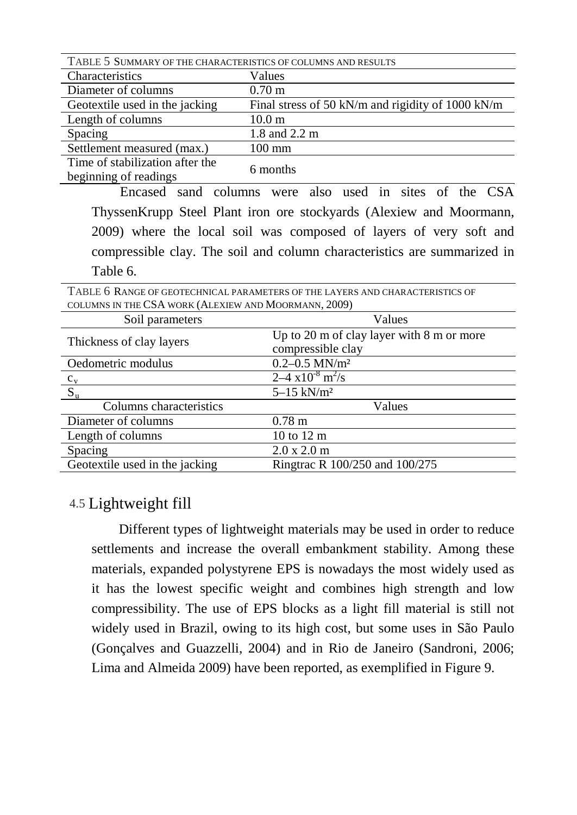| TABLE 5 SUMMARY OF THE CHARACTERISTICS OF COLUMNS AND RESULTS |                                                     |  |  |  |
|---------------------------------------------------------------|-----------------------------------------------------|--|--|--|
| Characteristics                                               | Values                                              |  |  |  |
| Diameter of columns                                           | $0.70 \text{ m}$                                    |  |  |  |
| Geotextile used in the jacking                                | Final stress of 50 kN/m and rigidity of 1000 kN/m   |  |  |  |
| Length of columns                                             | 10.0 <sub>m</sub>                                   |  |  |  |
| Spacing                                                       | 1.8 and 2.2 m                                       |  |  |  |
| Settlement measured (max.)                                    | $100 \text{ mm}$                                    |  |  |  |
| Time of stabilization after the<br>beginning of readings      | 6 months                                            |  |  |  |
|                                                               | Encased sand columns were also used in sites of the |  |  |  |

ThyssenKrupp Steel Plant iron ore stockyards (Alexiew and Moormann, 2009) where the local soil was composed of layers of very soft and compressible clay. The soil and column characteristics are summarized in Table 6.

| TABLE 6 RANGE OF GEOTECHNICAL PARAMETERS OF THE LAYERS AND CHARACTERISTICS OF |                                                               |  |  |
|-------------------------------------------------------------------------------|---------------------------------------------------------------|--|--|
| COLUMNS IN THE CSA WORK (ALEXIEW AND MOORMANN, 2009)                          |                                                               |  |  |
| Soil parameters                                                               | Values                                                        |  |  |
| Thickness of clay layers                                                      | Up to $20 \text{ m}$ of clay layer with $8 \text{ m}$ or more |  |  |
|                                                                               | compressible clay                                             |  |  |
| Oedometric modulus                                                            | $0.2 - 0.5$ MN/m <sup>2</sup>                                 |  |  |
| $c_v$                                                                         | $2-4 \times 10^{-8}$ m <sup>2</sup> /s                        |  |  |
| $S_{u}$                                                                       | $5 - 15$ kN/m <sup>2</sup>                                    |  |  |
| Columns characteristics                                                       | Values                                                        |  |  |
| Diameter of columns                                                           | 0.78 <sub>m</sub>                                             |  |  |
| Length of columns                                                             | 10 to 12 m                                                    |  |  |
| Spacing                                                                       | 2.0 x 2.0 m                                                   |  |  |
| Geotextile used in the jacking                                                | Ringtrac R 100/250 and 100/275                                |  |  |

## 4.5 Lightweight fill

Different types of lightweight materials may be used in order to reduce settlements and increase the overall embankment stability. Among these materials, expanded polystyrene EPS is nowadays the most widely used as it has the lowest specific weight and combines high strength and low compressibility. The use of EPS blocks as a light fill material is still not widely used in Brazil, owing to its high cost, but some uses in São Paulo (Gonçalves and Guazzelli, 2004) and in Rio de Janeiro (Sandroni, 2006; Lima and Almeida 2009) have been reported, as exemplified in Figure 9.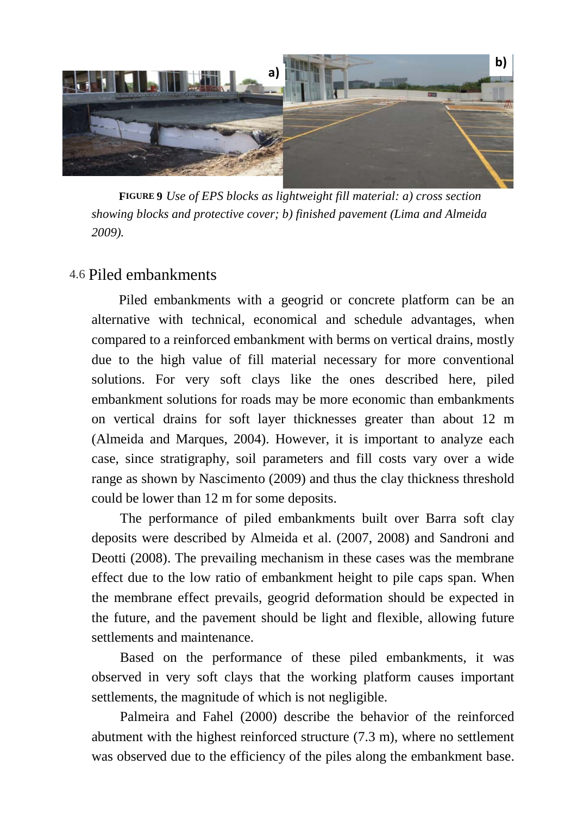

**FIGURE 9** *Use of EPS blocks as lightweight fill material: a) cross section showing blocks and protective cover; b) finished pavement (Lima and Almeida 2009).*

## 4.6 Piled embankments

Piled embankments with a geogrid or concrete platform can be an alternative with technical, economical and schedule advantages, when compared to a reinforced embankment with berms on vertical drains, mostly due to the high value of fill material necessary for more conventional solutions. For very soft clays like the ones described here, piled embankment solutions for roads may be more economic than embankments on vertical drains for soft layer thicknesses greater than about 12 m (Almeida and Marques, 2004). However, it is important to analyze each case, since stratigraphy, soil parameters and fill costs vary over a wide range as shown by Nascimento (2009) and thus the clay thickness threshold could be lower than 12 m for some deposits.

The performance of piled embankments built over Barra soft clay deposits were described by Almeida et al. (2007, 2008) and Sandroni and Deotti (2008). The prevailing mechanism in these cases was the membrane effect due to the low ratio of embankment height to pile caps span. When the membrane effect prevails, geogrid deformation should be expected in the future, and the pavement should be light and flexible, allowing future settlements and maintenance.

Based on the performance of these piled embankments, it was observed in very soft clays that the working platform causes important settlements, the magnitude of which is not negligible.

Palmeira and Fahel (2000) describe the behavior of the reinforced abutment with the highest reinforced structure (7.3 m), where no settlement was observed due to the efficiency of the piles along the embankment base.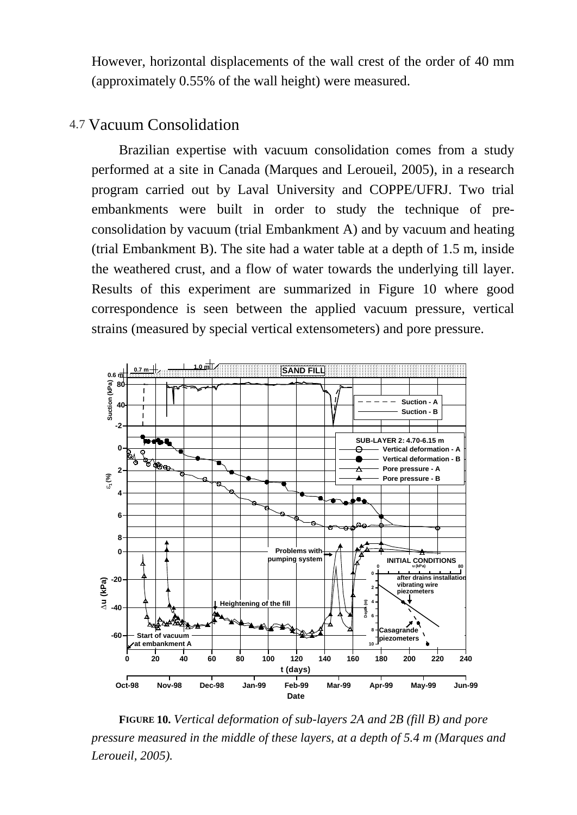However, horizontal displacements of the wall crest of the order of 40 mm (approximately 0.55% of the wall height) were measured.

## 4.7 Vacuum Consolidation

Brazilian expertise with vacuum consolidation comes from a study performed at a site in Canada (Marques and Leroueil, 2005), in a research program carried out by Laval University and COPPE/UFRJ. Two trial embankments were built in order to study the technique of preconsolidation by vacuum (trial Embankment A) and by vacuum and heating (trial Embankment B). The site had a water table at a depth of 1.5 m, inside the weathered crust, and a flow of water towards the underlying till layer. Results of this experiment are summarized in Figure 10 where good correspondence is seen between the applied vacuum pressure, vertical strains (measured by special vertical extensometers) and pore pressure.



**FIGURE 10.** *Vertical deformation of sub-layers 2A and 2B (fill B) and pore pressure measured in the middle of these layers, at a depth of 5.4 m (Marques and Leroueil, 2005).*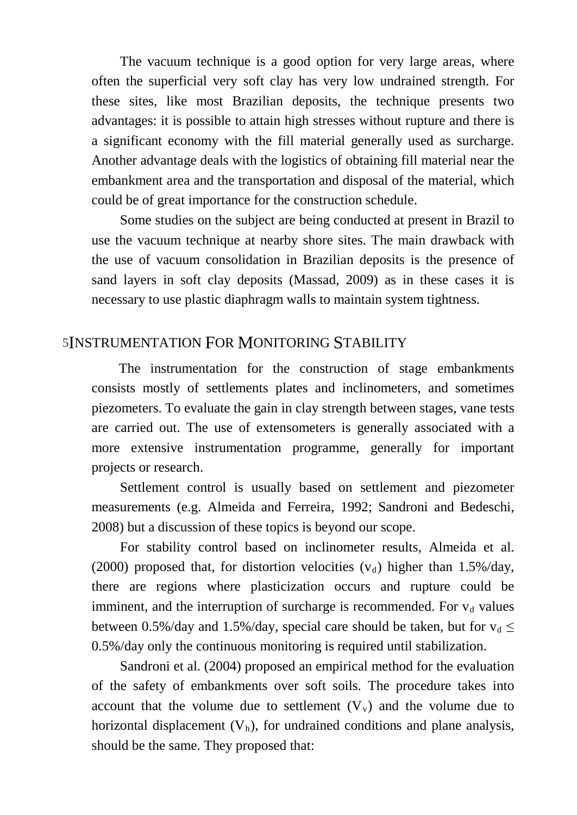The vacuum technique is a good option for very large areas, where often the superficial very soft clay has very low undrained strength. For these sites, like most Brazilian deposits, the technique presents two advantages: it is possible to attain high stresses without rupture and there is a significant economy with the fill material generally used as surcharge. Another advantage deals with the logistics of obtaining fill material near the embankment area and the transportation and disposal of the material, which could be of great importance for the construction schedule.

Some studies on the subject are being conducted at present in Brazil to use the vacuum technique at nearby shore sites. The main drawback with the use of vacuum consolidation in Brazilian deposits is the presence of sand layers in soft clay deposits (Massad, 2009) as in these cases it is necessary to use plastic diaphragm walls to maintain system tightness.

#### 5INSTRUMENTATION FOR MONITORING STABILITY

The instrumentation for the construction of stage embankments consists mostly of settlements plates and inclinometers, and sometimes piezometers. To evaluate the gain in clay strength between stages, vane tests are carried out. The use of extensometers is generally associated with a more extensive instrumentation programme, generally for important projects or research.

Settlement control is usually based on settlement and piezometer measurements (e.g. Almeida and Ferreira, 1992; Sandroni and Bedeschi, 2008) but a discussion of these topics is beyond our scope.

For stability control based on inclinometer results, Almeida et al. (2000) proposed that, for distortion velocities  $(v_d)$  higher than 1.5%/day, there are regions where plasticization occurs and rupture could be imminent, and the interruption of surcharge is recommended. For  $v_d$  values between 0.5%/day and 1.5%/day, special care should be taken, but for  $v_d \leq$ 0.5%/day only the continuous monitoring is required until stabilization.

Sandroni et al. (2004) proposed an empirical method for the evaluation of the safety of embankments over soft soils. The procedure takes into account that the volume due to settlement  $(V_v)$  and the volume due to horizontal displacement  $(V<sub>h</sub>)$ , for undrained conditions and plane analysis, should be the same. They proposed that: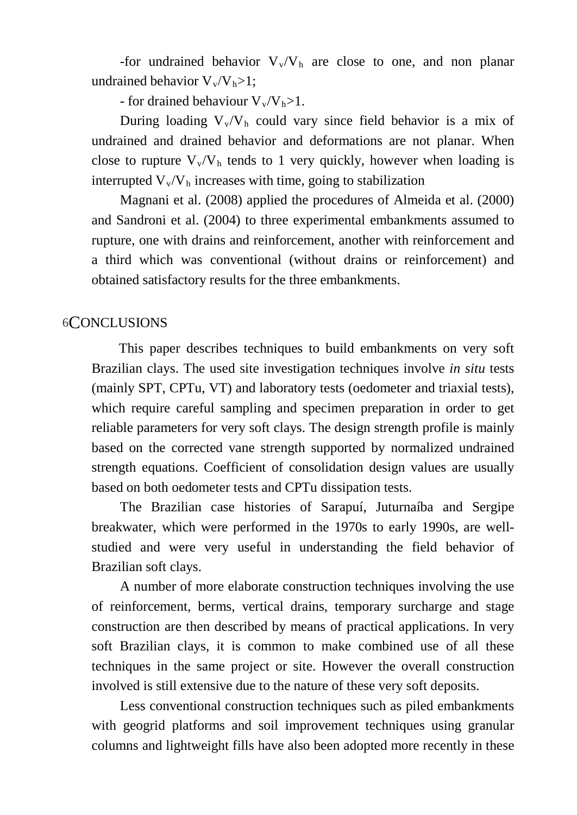-for undrained behavior  $V_v/V_h$  are close to one, and non planar undrained behavior  $V_{v}/V_{h}$ >1;

- for drained behaviour  $V_v/V_h > 1$ .

During loading  $V_v/V_h$  could vary since field behavior is a mix of undrained and drained behavior and deformations are not planar. When close to rupture  $V_v/V_h$  tends to 1 very quickly, however when loading is interrupted  $\rm V_{v}/V_{h}$  increases with time, going to stabilization

Magnani et al. (2008) applied the procedures of Almeida et al. (2000) and Sandroni et al. (2004) to three experimental embankments assumed to rupture, one with drains and reinforcement, another with reinforcement and a third which was conventional (without drains or reinforcement) and obtained satisfactory results for the three embankments.

### 6CONCLUSIONS

This paper describes techniques to build embankments on very soft Brazilian clays. The used site investigation techniques involve *in situ* tests (mainly SPT, CPTu, VT) and laboratory tests (oedometer and triaxial tests), which require careful sampling and specimen preparation in order to get reliable parameters for very soft clays. The design strength profile is mainly based on the corrected vane strength supported by normalized undrained strength equations. Coefficient of consolidation design values are usually based on both oedometer tests and CPTu dissipation tests.

The Brazilian case histories of Sarapuí, Juturnaíba and Sergipe breakwater, which were performed in the 1970s to early 1990s, are wellstudied and were very useful in understanding the field behavior of Brazilian soft clays.

A number of more elaborate construction techniques involving the use of reinforcement, berms, vertical drains, temporary surcharge and stage construction are then described by means of practical applications. In very soft Brazilian clays, it is common to make combined use of all these techniques in the same project or site. However the overall construction involved is still extensive due to the nature of these very soft deposits.

Less conventional construction techniques such as piled embankments with geogrid platforms and soil improvement techniques using granular columns and lightweight fills have also been adopted more recently in these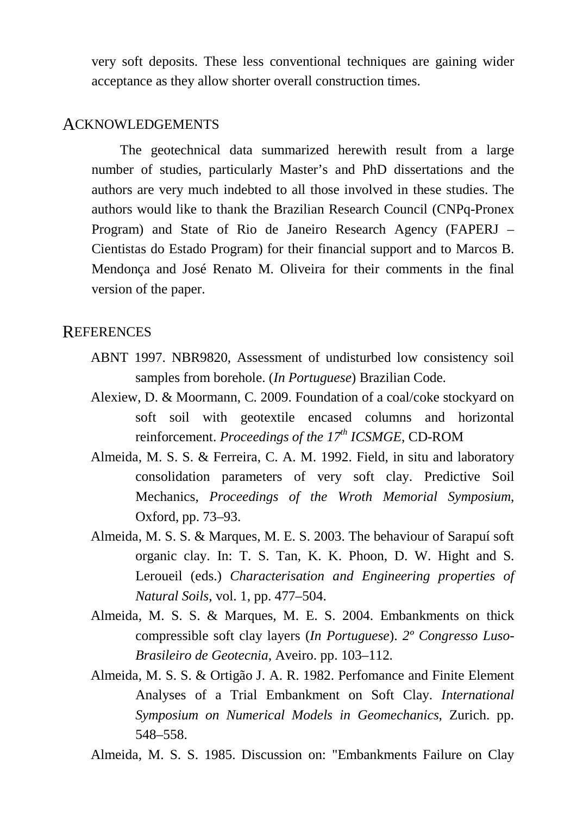very soft deposits. These less conventional techniques are gaining wider acceptance as they allow shorter overall construction times.

#### ACKNOWLEDGEMENTS

The geotechnical data summarized herewith result from a large number of studies, particularly Master's and PhD dissertations and the authors are very much indebted to all those involved in these studies. The authors would like to thank the Brazilian Research Council (CNPq-Pronex Program) and State of Rio de Janeiro Research Agency (FAPERJ – Cientistas do Estado Program) for their financial support and to Marcos B. Mendonça and José Renato M. Oliveira for their comments in the final version of the paper.

## **REFERENCES**

- ABNT 1997. NBR9820, Assessment of undisturbed low consistency soil samples from borehole. (*In Portuguese*) Brazilian Code.
- Alexiew, D. & Moormann, C. 2009. Foundation of a coal/coke stockyard on soft soil with geotextile encased columns and horizontal reinforcement. *Proceedings of the 17th ICSMGE*, CD-ROM
- Almeida, M. S. S. & Ferreira, C. A. M. 1992. Field, in situ and laboratory consolidation parameters of very soft clay. Predictive Soil Mechanics, *Proceedings of the Wroth Memorial Symposium*, Oxford, pp. 73–93.
- Almeida, M. S. S. & Marques, M. E. S. 2003. The behaviour of Sarapuí soft organic clay. In: T. S. Tan, K. K. Phoon, D. W. Hight and S. Leroueil (eds.) *Characterisation and Engineering properties of Natural Soils*, vol. 1, pp. 477–504.
- Almeida, M. S. S. & Marques, M. E. S. 2004. Embankments on thick compressible soft clay layers (*In Portuguese*). *2º Congresso Luso-Brasileiro de Geotecnia*, Aveiro. pp. 103–112.
- Almeida, M. S. S. & Ortigão J. A. R. 1982. Perfomance and Finite Element Analyses of a Trial Embankment on Soft Clay. *International Symposium on Numerical Models in Geomechanics*, Zurich. pp. 548–558.
- Almeida, M. S. S. 1985. Discussion on: "Embankments Failure on Clay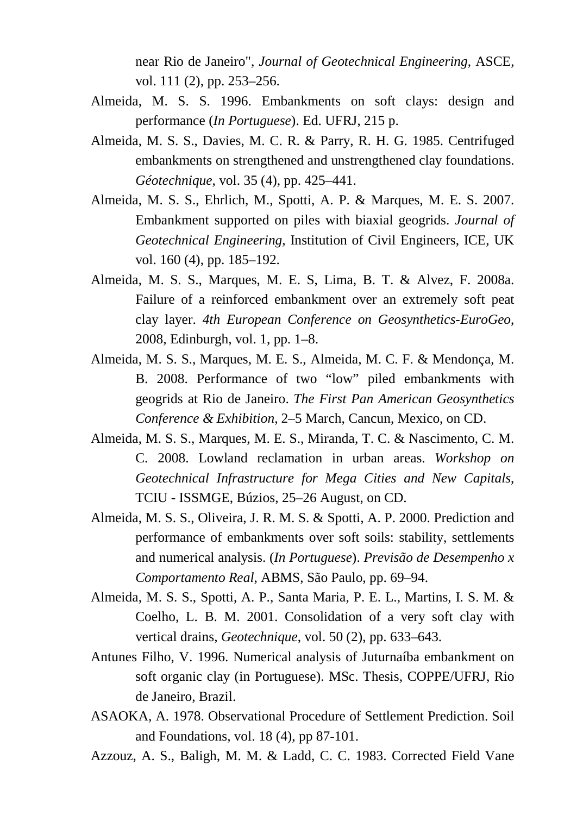near Rio de Janeiro", *Journal of Geotechnical Engineering*, ASCE, vol. 111 (2), pp. 253–256.

- Almeida, M. S. S. 1996. Embankments on soft clays: design and performance (*In Portuguese*). Ed. UFRJ, 215 p.
- Almeida, M. S. S., Davies, M. C. R. & Parry, R. H. G. 1985. Centrifuged embankments on strengthened and unstrengthened clay foundations. *Géotechnique*, vol. 35 (4), pp. 425–441.
- Almeida, M. S. S., Ehrlich, M., Spotti, A. P. & Marques, M. E. S. 2007. Embankment supported on piles with biaxial geogrids. *Journal of Geotechnical Engineering*, Institution of Civil Engineers, ICE, UK vol. 160 (4), pp. 185–192.
- Almeida, M. S. S., Marques, M. E. S, Lima, B. T. & Alvez, F. 2008a. Failure of a reinforced embankment over an extremely soft peat clay layer. *4th European Conference on Geosynthetics-EuroGeo*, 2008, Edinburgh, vol. 1, pp. 1–8.
- Almeida, M. S. S., Marques, M. E. S., Almeida, M. C. F. & Mendonça, M. B. 2008. Performance of two "low" piled embankments with geogrids at Rio de Janeiro. *The First Pan American Geosynthetics Conference & Exhibition*, 2–5 March, Cancun, Mexico, on CD.
- Almeida, M. S. S., Marques, M. E. S., Miranda, T. C. & Nascimento, C. M. C. 2008. Lowland reclamation in urban areas. *Workshop on Geotechnical Infrastructure for Mega Cities and New Capitals*, TCIU - ISSMGE, Búzios, 25–26 August, on CD.
- Almeida, M. S. S., Oliveira, J. R. M. S. & Spotti, A. P. 2000. Prediction and performance of embankments over soft soils: stability, settlements and numerical analysis. (*In Portuguese*). *Previsão de Desempenho x Comportamento Real*, ABMS, São Paulo, pp. 69–94.
- Almeida, M. S. S., Spotti, A. P., Santa Maria, P. E. L., Martins, I. S. M. & Coelho, L. B. M. 2001. Consolidation of a very soft clay with vertical drains, *Geotechnique*, vol. 50 (2), pp. 633–643.
- Antunes Filho, V. 1996. Numerical analysis of Juturnaíba embankment on soft organic clay (in Portuguese). MSc. Thesis, COPPE/UFRJ, Rio de Janeiro, Brazil.
- ASAOKA, A. 1978. Observational Procedure of Settlement Prediction. Soil and Foundations, vol. 18 (4), pp 87-101.
- Azzouz, A. S., Baligh, M. M. & Ladd, C. C. 1983. Corrected Field Vane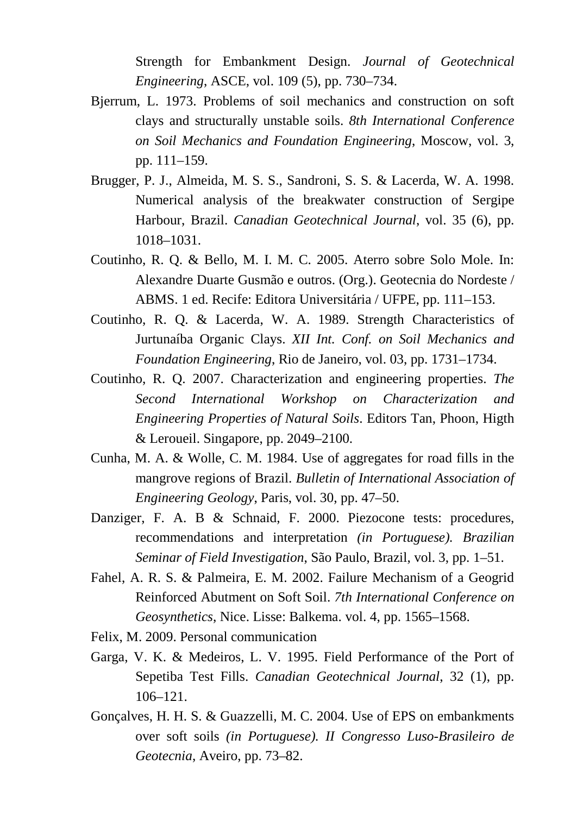Strength for Embankment Design. *Journal of Geotechnical Engineering*, ASCE, vol. 109 (5), pp. 730–734.

- Bjerrum, L. 1973. Problems of soil mechanics and construction on soft clays and structurally unstable soils. *8th International Conference on Soil Mechanics and Foundation Engineering*, Moscow, vol. 3, pp. 111–159.
- Brugger, P. J., Almeida, M. S. S., Sandroni, S. S. & Lacerda, W. A. 1998. Numerical analysis of the breakwater construction of Sergipe Harbour, Brazil. *Canadian Geotechnical Journal*, vol. 35 (6), pp. 1018–1031.
- Coutinho, R. Q. & Bello, M. I. M. C. 2005. Aterro sobre Solo Mole. In: Alexandre Duarte Gusmão e outros. (Org.). Geotecnia do Nordeste / ABMS. 1 ed. Recife: Editora Universitária / UFPE, pp. 111–153.
- Coutinho, R. Q. & Lacerda, W. A. 1989. Strength Characteristics of Jurtunaíba Organic Clays. *XII Int. Conf. on Soil Mechanics and Foundation Engineering*, Rio de Janeiro, vol. 03, pp. 1731–1734.
- Coutinho, R. Q. 2007. Characterization and engineering properties. *The Second International Workshop on Characterization and Engineering Properties of Natural Soils*. Editors Tan, Phoon, Higth & Leroueil. Singapore, pp. 2049–2100.
- Cunha, M. A. & Wolle, C. M. 1984. Use of aggregates for road fills in the mangrove regions of Brazil. *Bulletin of International Association of Engineering Geology*, Paris, vol. 30, pp. 47–50.
- Danziger, F. A. B & Schnaid, F. 2000. Piezocone tests: procedures, recommendations and interpretation *(in Portuguese). Brazilian Seminar of Field Investigation*, São Paulo, Brazil, vol. 3, pp. 1–51.
- Fahel, A. R. S. & Palmeira, E. M. 2002. Failure Mechanism of a Geogrid Reinforced Abutment on Soft Soil. *7th International Conference on Geosynthetics*, Nice. Lisse: Balkema. vol. 4, pp. 1565–1568.
- Felix, M. 2009. Personal communication
- Garga, V. K. & Medeiros, L. V. 1995. Field Performance of the Port of Sepetiba Test Fills. *Canadian Geotechnical Journal*, 32 (1), pp. 106–121.
- Gonçalves, H. H. S. & Guazzelli, M. C. 2004. Use of EPS on embankments over soft soils *(in Portuguese). II Congresso Luso-Brasileiro de Geotecnia*, Aveiro, pp. 73–82.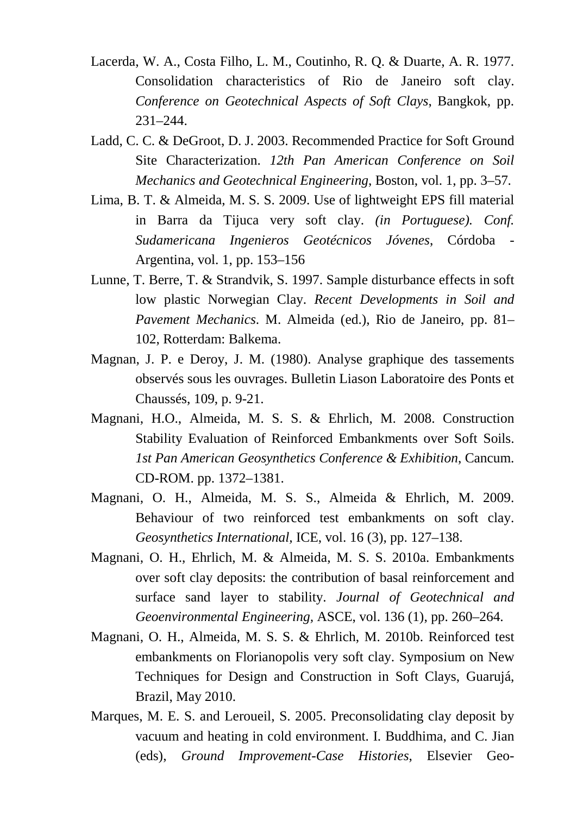- Lacerda, W. A., Costa Filho, L. M., Coutinho, R. Q. & Duarte, A. R. 1977. Consolidation characteristics of Rio de Janeiro soft clay. *Conference on Geotechnical Aspects of Soft Clays*, Bangkok, pp. 231–244.
- Ladd, C. C. & DeGroot, D. J. 2003. Recommended Practice for Soft Ground Site Characterization. *12th Pan American Conference on Soil Mechanics and Geotechnical Engineering*, Boston, vol. 1, pp. 3–57.
- Lima, B. T. & Almeida, M. S. S. 2009. Use of lightweight EPS fill material in Barra da Tijuca very soft clay. *(in Portuguese). Conf. Sudamericana Ingenieros Geotécnicos Jóvenes*, Córdoba - Argentina, vol. 1, pp. 153–156
- Lunne, T. Berre, T. & Strandvik, S. 1997. Sample disturbance effects in soft low plastic Norwegian Clay. *Recent Developments in Soil and Pavement Mechanics*. M. Almeida (ed.), Rio de Janeiro, pp. 81– 102, Rotterdam: Balkema.
- Magnan, J. P. e Deroy, J. M. (1980). Analyse graphique des tassements observés sous les ouvrages. Bulletin Liason Laboratoire des Ponts et Chaussés, 109, p. 9-21.
- Magnani, H.O., Almeida, M. S. S. & Ehrlich, M. 2008. Construction Stability Evaluation of Reinforced Embankments over Soft Soils. *1st Pan American Geosynthetics Conference & Exhibition*, Cancum. CD-ROM. pp. 1372–1381.
- Magnani, O. H., Almeida, M. S. S., Almeida & Ehrlich, M. 2009. Behaviour of two reinforced test embankments on soft clay. *Geosynthetics International,* ICE, vol. 16 (3), pp. 127–138.
- Magnani, O. H., Ehrlich, M. & Almeida, M. S. S. 2010a. Embankments over soft clay deposits: the contribution of basal reinforcement and surface sand layer to stability. *Journal of Geotechnical and Geoenvironmental Engineering,* ASCE, vol. 136 (1), pp. 260–264.
- Magnani, O. H., Almeida, M. S. S. & Ehrlich, M. 2010b. Reinforced test embankments on Florianopolis very soft clay. Symposium on New Techniques for Design and Construction in Soft Clays, Guarujá, Brazil, May 2010.
- Marques, M. E. S. and Leroueil, S. 2005. Preconsolidating clay deposit by vacuum and heating in cold environment. I. Buddhima, and C. Jian (eds), *Ground Improvement-Case Histories*, Elsevier Geo-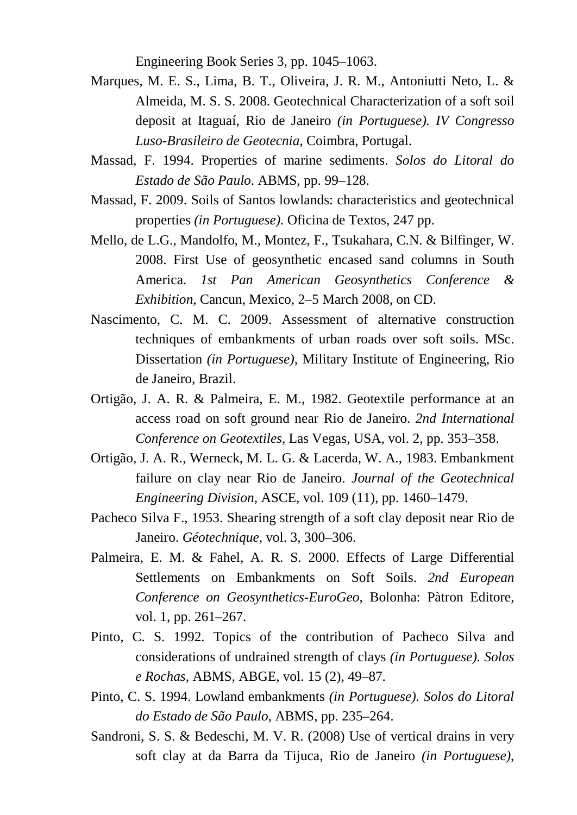Engineering Book Series 3, pp. 1045–1063.

- Marques, M. E. S., Lima, B. T., Oliveira, J. R. M., Antoniutti Neto, L. & Almeida, M. S. S. 2008. Geotechnical Characterization of a soft soil deposit at Itaguaí, Rio de Janeiro *(in Portuguese). IV Congresso Luso-Brasileiro de Geotecnia*, Coimbra, Portugal.
- Massad, F. 1994. Properties of marine sediments. *Solos do Litoral do Estado de São Paulo*. ABMS, pp. 99–128.
- Massad, F. 2009. Soils of Santos lowlands: characteristics and geotechnical properties *(in Portuguese).* Oficina de Textos, 247 pp.
- Mello, de L.G., Mandolfo, M., Montez, F., Tsukahara, C.N. & Bilfinger, W. 2008. First Use of geosynthetic encased sand columns in South America. *1st Pan American Geosynthetics Conference & Exhibition*, Cancun, Mexico, 2–5 March 2008, on CD.
- Nascimento, C. M. C. 2009. Assessment of alternative construction techniques of embankments of urban roads over soft soils. MSc. Dissertation *(in Portuguese),* Military Institute of Engineering, Rio de Janeiro, Brazil.
- Ortigão, J. A. R. & Palmeira, E. M., 1982. Geotextile performance at an access road on soft ground near Rio de Janeiro. *2nd International Conference on Geotextiles*, Las Vegas, USA, vol. 2, pp. 353–358.
- Ortigão, J. A. R., Werneck, M. L. G. & Lacerda, W. A., 1983. Embankment failure on clay near Rio de Janeiro. *Journal of the Geotechnical Engineering Division*, ASCE, vol. 109 (11), pp. 1460–1479.
- Pacheco Silva F., 1953. Shearing strength of a soft clay deposit near Rio de Janeiro. *Géotechnique*, vol. 3, 300–306.
- Palmeira, E. M. & Fahel, A. R. S. 2000. Effects of Large Differential Settlements on Embankments on Soft Soils. *2nd European Conference on Geosynthetics-EuroGeo*, Bolonha: Pàtron Editore, vol. 1, pp. 261–267.
- Pinto, C. S. 1992. Topics of the contribution of Pacheco Silva and considerations of undrained strength of clays *(in Portuguese). Solos e Rochas*, ABMS, ABGE, vol. 15 (2), 49–87.
- Pinto, C. S. 1994. Lowland embankments *(in Portuguese). Solos do Litoral do Estado de São Paulo*, ABMS, pp. 235–264.
- Sandroni, S. S. & Bedeschi, M. V. R. (2008) Use of vertical drains in very soft clay at da Barra da Tijuca, Rio de Janeiro *(in Portuguese)*,